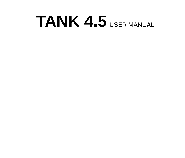# **TANK 4.5** USER MANUAL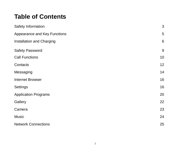# **Table of Contents**

| Safety Information           | 3  |  |
|------------------------------|----|--|
| Appearance and Key Functions |    |  |
| Installation and Charging    | 6  |  |
| Safety Password              | 9  |  |
| <b>Call Functions</b>        | 10 |  |
| Contacts                     | 12 |  |
| Messaging                    | 14 |  |
| Internet Browser             | 16 |  |
| Settings                     | 16 |  |
| <b>Application Programs</b>  | 20 |  |
| Gallery                      | 22 |  |
| Camera                       | 23 |  |
| Music                        | 24 |  |
| <b>Network Connections</b>   | 25 |  |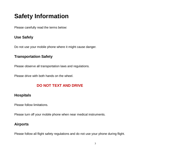# <span id="page-2-0"></span>**Safety Information**

Please carefully read the terms below:

# **Use Safely**

Do not use your mobile phone where it might cause danger.

### **Transportation Safety**

Please observe all transportation laws and regulations.

Please drive with both hands on the wheel.

# **DO NOT TEXT AND DRIVE**

### **Hospitals**

Please follow limitations.

Please turn off your mobile phone when near medical instruments.

# **Airports**

Please follow all flight safety regulations and do not use your phone during flight.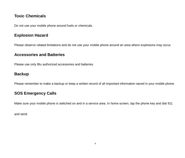# **Toxic Chemicals**

Do not use your mobile phone around fuels or chemicals.

### **Explosion Hazard**

Please observe related limitations and do not use your mobile phone around an area where explosions may occur.

# **Accessories and Batteries**

Please use only Blu authorized accessories and batteries.

# **Backup**

Please remember to make a backup or keep a written record of all important information saved in your mobile phone.

# **SOS Emergency Calls**

Make sure your mobile phone is switched on and in a service area. In home screen, tap the phone key and dial 911

and send.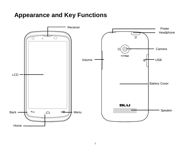# <span id="page-4-0"></span>**Appearance and Key Functions**

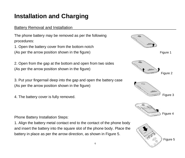# <span id="page-5-0"></span>**Installation and Charging**

# Battery Removal and Installation

The phone battery may be removed as per the following procedures:

1. Open the battery cover from the bottom notch (As per the arrow position shown in the figure)

2. Open from the gap at the bottom and open from two sides (As per the arrow position shown in the figure)

3. Put your fingernail deep into the gap and open the battery case (As per the arrow position shown in the figure)

4. The battery cover is fully removed.



Figure 5

Phone Battery Installation Steps:

1. Align the battery metal contact end to the contact of the phone body and insert the battery into the square slot of the phone body. Place the battery in place as per the arrow direction, as shown in Figure 5.

6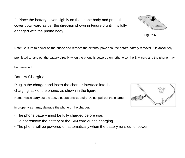7

2. Place the battery cover slightly on the phone body and press the cover downward as per the direction shown in Figure 6 until it is fully engaged with the phone body.

Note: Be sure to power off the phone and remove the external power source before battery removal. It is absolutely

prohibited to take out the battery directly when the phone is powered on, otherwise, the SIM card and the phone may

be damaged.

#### **Battery Charging**

Plug in the charger and insert the charger interface into the charging jack of the phone, as shown in the figure:

Note: Please carry out the above operations carefully. Do not pull out the charger

improperly as it may damage the phone or the charger.

- The phone battery must be fully charged before use.
- Do not remove the battery or the SIM card during charging.
- The phone will be powered off automatically when the battery runs out of power.





Figure 6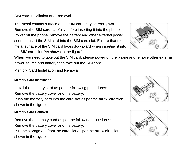#### SIM card Installation and Removal

The metal contact surface of the SIM card may be easily worn. Remove the SIM card carefully before inserting it into the phone. Power off the phone, remove the battery and other external power source. Insert the SIM card into the SIM card slot. Ensure that the metal surface of the SIM card faces downward when inserting it into the SIM card slot (As shown in the figure).



When you need to take out the SIM card, please power off the phone and remove other external power source and battery then take out the SIM card.

### Memory Card Installation and Removal

#### **Memory Card Installation**

Install the memory card as per the following procedures:

Remove the battery cover and the battery.

Push the memory card into the card slot as per the arrow direction shown in the figure.



#### **Memory Card Removal**

Remove the memory card as per the following procedures: Remove the battery cover and the battery.

Pull the storage out from the card slot as per the arrow direction shown in the figure.

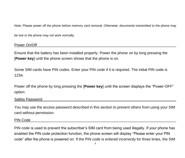Note: Please power off the phone before memory card removal. Otherwise, documents transmitted to the phone may

be lost or the phone may not work normally.

#### Power On/Off

Ensure that the battery has been installed properly. Power the phone on by long pressing the [**Power key**] until the phone screen shows that the phone is on.

Some SIM cards have PIN codes. Enter your PIN code if it is required. The initial PIN code is 1234.

Power off the phone by long pressing the [**Power key**] until the screen displays the "Power-OFF" option.

#### <span id="page-8-0"></span>Safety Password

You may use the access password described in this section to prevent others from using your SIM card without permission.

#### PIN Code

PIN code is used to prevent the subscriber's SIM card from being used illegally. If your phone has enabled the PIN code protection function, the phone screen will display "Please enter your PIN code" after the phone is powered on. If the PIN code is entered incorrectly for three times, the SIM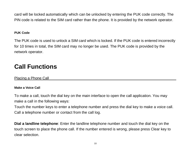card will be locked automatically which can be unlocked by entering the PUK code correctly. The PIN code is related to the SIM card rather than the phone. It is provided by the network operator.

#### **PUK Code**

The PUK code is used to unlock a SIM card which is locked. If the PUK code is entered incorrectly for 10 times in total, the SIM card may no longer be used. The PUK code is provided by the network operator.

# <span id="page-9-0"></span>**Call Functions**

### Placing a Phone Call

#### **Make a Voice Call**

To make a call, touch the dial key on the main interface to open the call application. You may make a call in the following ways:

Touch the number keys to enter a telephone number and press the dial key to make a voice call. Call a telephone number or contact from the call log.

**Dial a landline telephone**: Enter the landline telephone number and touch the dial key on the touch screen to place the phone call. If the number entered is wrong, please press Clear key to clear selection.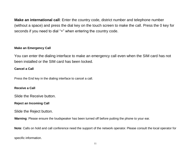**Make an international call**: Enter the country code, district number and telephone number (without a space) and press the dial key on the touch screen to make the call. Press the 0 key for seconds if you need to dial "+" when entering the country code.

#### **Make an Emergency Call**

You can enter the dialing interface to make an emergency call even when the SIM card has not been installed or the SIM card has been locked.

#### **Cancel a Call**

Press the End key in the dialing interface to cancel a call.

#### **Receive a Call**

Slide the Receive button.

#### **Reject an Incoming Call**

Slide the Reject button.

**Warning**: Please ensure the loudspeaker has been turned off before putting the phone to your ear.

**Note**: Calls on hold and call conference need the support of the network operator. Please consult the local operator for

specific information.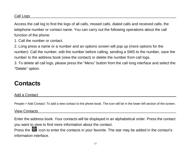#### Call Logs

Access the call log to find the logs of all calls, missed calls, dialed calls and received calls, the telephone number or contact name. You can carry out the following operations about the call function of the phone:

1. Call the number or contact.

2. Long press a name or a number and an options screen will pop up (more options for the number): Call the number, edit the number before calling, sending a SMS to the number, save the number to the address book (view the contact) or delete the number from call logs.

3. To delete all call logs, please press the "Menu" button from the call long interface and select the "Delete" option.

# <span id="page-11-0"></span>**Contacts**

Add a Contact

People-> Add Contact: To add a new contact to the phone book. The icon will be in the lower left section of the screen.

View Contacts

Enter the address book. Your contacts will be displayed in an alphabetical order. Press the contact you want to view to find more information about the contact.

Press the **int** icon to enter the contacts in your favorite. The star may be added in the contact's information interface.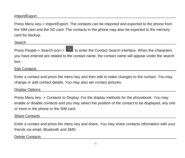### Import/Export

Press Menu key-> Import/Export: The contacts can be imported and exported to the phone from the SIM card and the SD card. The contacts in the phone may also be exported to the memory card for backup.

Search

Press People-> Search icon->  $\begin{bmatrix} 0 \\ 1 \end{bmatrix}$  to enter the Contact Search interface. When the characters you have entered are related to the contact name, the contact name will appear under the search box.

#### Edit Contacts

Enter a contact and press the menu key and then edit to make changes to the contact. You may change or add contact details. You may also set contact pictures.

### Display Options

Press Menu key -> Contacts to Display: For the display methods for the phonebook. You may enable or disable contacts and you may select the position of the contact to be displayed, any one or more in the phone or the SIM card.

#### Share Contacts

Enter a contact and press the menu key and share. You may share contacts information with your friends via email, Bluetooth and SMS.

#### Delete Contacts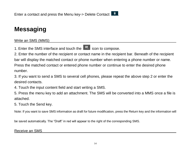# <span id="page-13-0"></span>**Messaging**

### Write an SMS (MMS)

1. Enter the SMS interface and touch the  $\overline{q}$  icon to compose.

2. Enter the number of the recipient or contact name in the recipient bar. Beneath of the recipient bar will display the matched contact or phone number when entering a phone number or name. Press the matched contact or entered phone number or continue to enter the desired phone number.

3. If you want to send a SMS to several cell phones, please repeat the above step 2 or enter the desired contacts.

4. Touch the input content field and start writing a SMS.

5. Press the menu key to add an attachment. The SMS will be converted into a MMS once a file is attached.

5. Touch the Send key.

Note: If you want to save SMS information as draft for future modification, press the Return key and the information will

be saved automatically. The "Draft" in red will appear to the right of the corresponding SMS.

Receive an SMS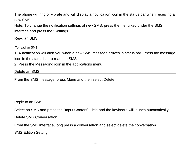The phone will ring or vibrate and will display a notification icon in the status bar when receiving a new SMS.

Note: To change the notification settings of new SMS, press the menu key under the SMS interface and press the "Settings".

Read an SMS

To read an SMS:

1. A notification will alert you when a new SMS message arrives in status bar. Press the message icon in the status bar to read the SMS.

2. Press the Messaging icon in the applications menu.

#### Delete an SMS

From the SMS message, press Menu and then select Delete.

#### Reply to an SMS

Select an SMS and press the "Input Content" Field and the keyboard will launch automatically.

Delete SMS Conversation

From the SMS interface, long press a conversation and select delete the conversation.

SMS Edition Setting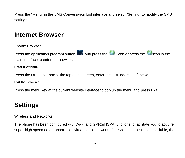Press the "Menu" in the SMS Conversation List interface and select "Setting" to modify the SMS settings

# <span id="page-15-0"></span>**Internet Browser**

Enable Browser

Press the application program button  $\bigcirc$  and press the  $\bigcirc$  icon or press the  $\bigcirc$  icon in the main interface to enter the browser.

#### **Enter a Website**

Press the URL input box at the top of the screen, enter the URL address of the website.

#### **Exit the Browser**

<span id="page-15-1"></span>Press the menu key at the current website interface to pop up the menu and press Exit.

# **Settings**

#### Wireless and Networks

The phone has been configured with Wi-Fi and GPRS/HSPA functions to facilitate you to acquire super-high speed data transmission via a mobile network. If the Wi-Fi connection is available, the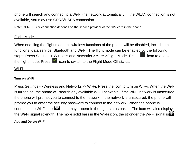phone will search and connect to a Wi-Fi the network automatically. If the WLAN connection is not available, you may use GPRS/HSPA connection.

Note: GPRS/HSPA connection depends on the service provider of the SIM card in the phone.

#### Flight Mode

When enabling the flight mode, all wireless functions of the phone will be disabled, including call functions, data service, Bluetooth and Wi-Fi. The flight mode can be enabled by the following steps: Press Settings-> Wireless and Networks->More->Flight Mode. Press in icon to enable the flight mode. Press  $\blacksquare$  icon to switch to the Flight Mode Off status.

Wi-Fi

#### **Turn on Wi-Fi**

Press Settings -> Wireless and Networks -> Wi-Fi. Press the icon to turn on Wi-Fi. When the Wi-Fi is turned on, the phone will search any available Wi-Fi networks. If the Wi-Fi network is unsecured, the phone will prompt you to connect to the network. If the network is unsecured, the phone will prompt you to enter the security password to connect to the network. When the phone is  $\frac{1}{2}$  connected to Wi-Fi, the  $\blacksquare$  icon may appear in the right status bar. The icon will also display the Wi-Fi signal strength. The more solid bars in the Wi-Fi icon, the stronger the Wi-Fi signal is  $\odot$ **Add and Delete Wi-Fi**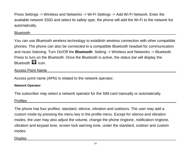Press Settings -> Wireless and Networks -> Wi-Fi Settings -> Add Wi-Fi Network. Enter the available network SSID and select its safety type, the phone will add the Wi-Fi to the network list automatically.

#### Bluetooth

You can use Bluetooth wireless technology to establish wireless connection with other compatible phones. The phone can also be connected to a compatible Bluetooth headset for communication and music listening. Turn On/Off the **Bluetooth**: Setting -> Wireless and Networks -> Bluetooth. Press to turn on the Bluetooth. Once the Bluetooth is active, the status bar will display the Bluetooth **23** icon.

#### Access Point Name

Access point name (APN) is related to the network operator.

#### **Network Operator**

The subscriber may select a network operator for the SIM card manually or automatically.

### Profiles

The phone has four profiles: standard, silence, vibration and outdoors. The user may add a custom mode by pressing the menu key in the profile menu. Except for silence and vibration modes, the user may also adjust the volume, change the phone ringtone, notification ringtone, vibration and keypad tone, screen lock warning tone, under the standard, outdoor and custom modes.

#### **Display**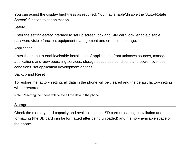You can adjust the display brightness as required. You may enable/disable the "Auto-Rotate Screen" function to set animation.

#### Safety

Enter the setting-safety interface to set up screen lock and SIM card lock, enable/disable password visible function, equipment management and credential storage.

#### **Application**

Enter the menu to enable/disable installation of applications from unknown sources, manage applications and view operating services, storage space use conditions and power level use conditions, set application development options.

#### Backup and Reset

To restore the factory setting, all data in the phone will be cleared and the default factory setting will be restored.

Note: Resetting the phone will delete all the data in the phone!

#### Storage

Check the memory card capacity and available space, SD card unloading, installation and formatting (the SD card can be formatted after being unloaded) and memory available space of the phone.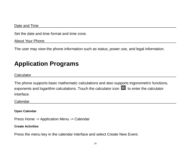#### Date and Time

Set the date and time format and time zone.

About Your Phone

<span id="page-19-0"></span>The user may view the phone information such as status, power use, and legal information.

# **Application Programs**

**Calculator** 

The phone supports basic mathematic calculations and also supports trigonometric functions, exponents and logarithm calculations. Touch the calculator icon  $\Box$  to enter the calculator interface.

Calendar

**Open Calendar**

Press Home -> Application Menu -> Calendar

**Create Activities** 

Press the menu key in the calendar interface and select Create New Event.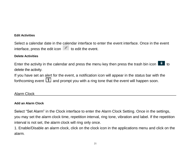#### **Edit Activities**

Select a calendar date in the calendar interface to enter the event interface. Once in the event interface, press the edit icon  $\sim$  to edit the event.

#### **Delete Activities**

Enter the activity in the calendar and press the menu key then press the trash bin icon  $\begin{array}{c} \bullet \\ \bullet \end{array}$  to delete the activity.

If you have set an alert for the event, a notification icon will appear in the status bar with the forthcoming event  $\Box$  and prompt you with a ring tone that the event will happen soon.

### Alarm Clock

#### **Add an Alarm Clock**

Select "Set Alarm" in the Clock interface to enter the Alarm Clock Setting. Once in the settings, you may set the alarm clock time, repetition interval, ring tone, vibration and label. If the repetition interval is not set, the alarm clock will ring only once.

1. Enable/Disable an alarm clock, click on the clock icon in the applications menu and click on the alarm.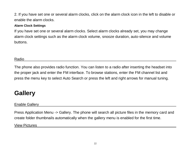2. If you have set one or several alarm clocks, click on the alarm clock icon in the left to disable or enable the alarm clocks.

#### **Alarm Clock Settings**

If you have set one or several alarm clocks. Select alarm clocks already set, you may change alarm clock settings such as the alarm clock volume, snooze duration, auto-silence and volume buttons.

### Radio

The phone also provides radio function. You can listen to a radio after inserting the headset into the proper jack and enter the FM interface. To browse stations, enter the FM channel list and press the menu key to select Auto Search or press the left and right arrows for manual tuning.

# <span id="page-21-0"></span>**Gallery**

### Enable Gallery

Press Application Menu -> Gallery. The phone will search all picture files in the memory card and create folder thumbnails automatically when the gallery menu is enabled for the first time. View Pictures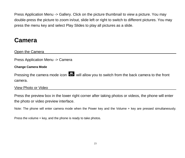Press Application Menu -> Gallery. Click on the picture thumbnail to view a picture. You may double-press the picture to zoom in/out, slide left or right to switch to different pictures. You may press the menu key and select Play Slides to play all pictures as a slide.

# <span id="page-22-0"></span>**Camera**

Open the Camera

Press Application Menu -> Camera

#### **Change Camera Mode**

Pressing the camera mode icon  $\ddot{\mathbf{w}}$  will allow you to switch from the back camera to the front camera.

View Photo or Video

Press the preview box in the lower right corner after taking photos or videos, the phone will enter the photo or video preview interface.

Note: The phone will enter camera mode when the Power key and the Volume + key are pressed simultaneously.

Press the volume + key, and the phone is ready to take photos.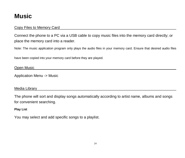# <span id="page-23-0"></span>**Music**

### Copy Files to Memory Card

Connect the phone to a PC via a USB cable to copy music files into the memory card directly; or place the memory card into a reader.

Note: The music application program only plays the audio files in your memory card. Ensure that desired audio files

have been copied into your memory card before they are played.

Open Music

Application Menu -> Music

#### Media Library

The phone will sort and display songs automatically according to artist name, albums and songs for convenient searching.

#### **Play List**

You may select and add specific songs to a playlist.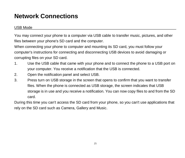# <span id="page-24-0"></span>**Network Connections**

### USB Mode

You may connect your phone to a computer via USB cable to transfer music, pictures, and other files between your phone's SD card and the computer.

When connecting your phone to computer and mounting its SD card, you must follow your computer's instructions for connecting and disconnecting USB devices to avoid damaging or corrupting files on your SD card.

- 1. Use the USB cable that came with your phone and to connect the phone to a USB port on your computer. You receive a notification that the USB is connected.
- 2. Open the notification panel and select USB.
- 3. Press turn on USB storage in the screen that opens to confirm that you want to transfer files. When the phone is connected as USB storage, the screen indicates that USB storage is in use and you receive a notification. You can now copy files to and from the SD card.

During this time you can't access the SD card from your phone, so you can't use applications that rely on the SD card such as Camera, Gallery and Music.